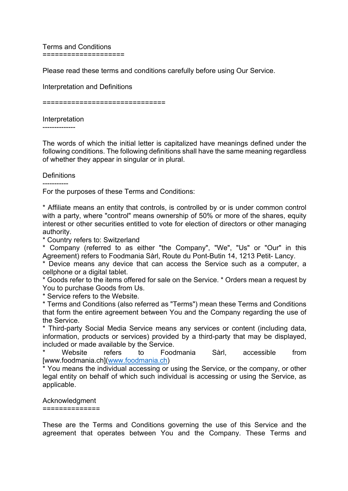Terms and Conditions ====================

Please read these terms and conditions carefully before using Our Service.

Interpretation and Definitions

==============================

Interpretation

--------------

The words of which the initial letter is capitalized have meanings defined under the following conditions. The following definitions shall have the same meaning regardless of whether they appear in singular or in plural.

# **Definitions**

-----------

For the purposes of these Terms and Conditions:

\* Affiliate means an entity that controls, is controlled by or is under common control with a party, where "control" means ownership of 50% or more of the shares, equity interest or other securities entitled to vote for election of directors or other managing authority.

\* Country refers to: Switzerland

\* Company (referred to as either "the Company", "We", "Us" or "Our" in this Agreement) refers to Foodmania Sàrl, Route du Pont-Butin 14, 1213 Petit- Lancy.

\* Device means any device that can access the Service such as a computer, a cellphone or a digital tablet.

\* Goods refer to the items offered for sale on the Service. \* Orders mean a request by You to purchase Goods from Us.

\* Service refers to the Website.

\* Terms and Conditions (also referred as "Terms") mean these Terms and Conditions that form the entire agreement between You and the Company regarding the use of the Service.

\* Third-party Social Media Service means any services or content (including data, information, products or services) provided by a third-party that may be displayed, included or made available by the Service.

Website refers to Foodmania Sàrl, accessible from [www.foodmania.ch](www.foodmania.ch)

\* You means the individual accessing or using the Service, or the company, or other legal entity on behalf of which such individual is accessing or using the Service, as applicable.

# Acknowledgment

==============

These are the Terms and Conditions governing the use of this Service and the agreement that operates between You and the Company. These Terms and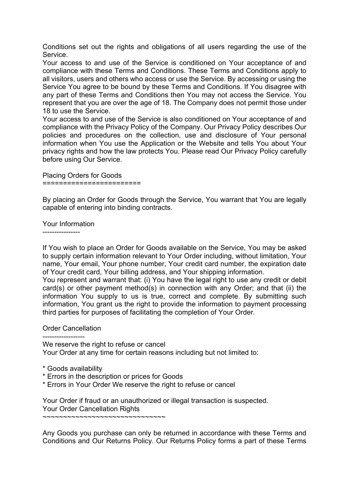Conditions set out the rights and obligations of all users regarding the use of the Service.

Your access to and use of the Service is conditioned on Your acceptance of and compliance with these Terms and Conditions. These Terms and Conditions apply to all visitors, users and others who access or use the Service. By accessing or using the Service You agree to be bound by these Terms and Conditions. If You disagree with any part of these Terms and Conditions then You may not access the Service. You represent that you are over the age of 18. The Company does not permit those under 18 to use the Service.

Your access to and use of the Service is also conditioned on Your acceptance of and compliance with the Privacy Policy of the Company. Our Privacy Policy describes Our policies and procedures on the collection, use and disclosure of Your personal information when You use the Application or the Website and tells You about Your privacy rights and how the law protects You. Please read Our Privacy Policy carefully before using Our Service.

Placing Orders for Goods ========================

By placing an Order for Goods through the Service, You warrant that You are legally capable of entering into binding contracts.

Your Information

----------------

If You wish to place an Order for Goods available on the Service, You may be asked to supply certain information relevant to Your Order including, without limitation, Your name, Your email, Your phone number, Your credit card number, the expiration date of Your credit card, Your billing address, and Your shipping information.

You represent and warrant that: (i) You have the legal right to use any credit or debit card(s) or other payment method(s) in connection with any Order; and that (ii) the information You supply to us is true, correct and complete. By submitting such information. You grant us the right to provide the information to payment processing third parties for purposes of facilitating the completion of Your Order.

# Order Cancellation

------------------ We reserve the right to refuse or cancel Your Order at any time for certain reasons including but not limited to:

- \* Goods availability
- \* Errors in the description or prices for Goods
- \* Errors in Your Order We reserve the right to refuse or cancel

Your Order if fraud or an unauthorized or illegal transaction is suspected. Your Order Cancellation Rights ~~~~~~~~~~~~~~~~~~~~~~~~~~~~~~~

Any Goods you purchase can only be returned in accordance with these Terms and Conditions and Our Returns Policy. Our Returns Policy forms a part of these Terms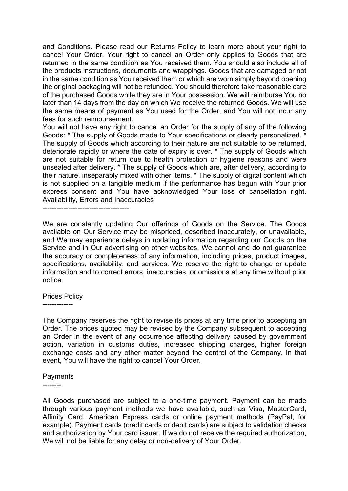and Conditions. Please read our Returns Policy to learn more about your right to cancel Your Order. Your right to cancel an Order only applies to Goods that are returned in the same condition as You received them. You should also include all of the products instructions, documents and wrappings. Goods that are damaged or not in the same condition as You received them or which are worn simply beyond opening the original packaging will not be refunded. You should therefore take reasonable care of the purchased Goods while they are in Your possession. We will reimburse You no later than 14 days from the day on which We receive the returned Goods. We will use the same means of payment as You used for the Order, and You will not incur any fees for such reimbursement.

You will not have any right to cancel an Order for the supply of any of the following Goods: \* The supply of Goods made to Your specifications or clearly personalized. \* The supply of Goods which according to their nature are not suitable to be returned, deteriorate rapidly or where the date of expiry is over. \* The supply of Goods which are not suitable for return due to health protection or hygiene reasons and were unsealed after delivery. \* The supply of Goods which are, after delivery, according to their nature, inseparably mixed with other items. \* The supply of digital content which is not supplied on a tangible medium if the performance has begun with Your prior express consent and You have acknowledged Your loss of cancellation right. Availability, Errors and Inaccuracies

-------------------------------------

We are constantly updating Our offerings of Goods on the Service. The Goods available on Our Service may be mispriced, described inaccurately, or unavailable, and We may experience delays in updating information regarding our Goods on the Service and in Our advertising on other websites. We cannot and do not guarantee the accuracy or completeness of any information, including prices, product images, specifications, availability, and services. We reserve the right to change or update information and to correct errors, inaccuracies, or omissions at any time without prior notice.

## Prices Policy

-------------

The Company reserves the right to revise its prices at any time prior to accepting an Order. The prices quoted may be revised by the Company subsequent to accepting an Order in the event of any occurrence affecting delivery caused by government action, variation in customs duties, increased shipping charges, higher foreign exchange costs and any other matter beyond the control of the Company. In that event, You will have the right to cancel Your Order.

## Payments

--------

All Goods purchased are subject to a one-time payment. Payment can be made through various payment methods we have available, such as Visa, MasterCard, Affinity Card, American Express cards or online payment methods (PayPal, for example). Payment cards (credit cards or debit cards) are subject to validation checks and authorization by Your card issuer. If we do not receive the required authorization, We will not be liable for any delay or non-delivery of Your Order.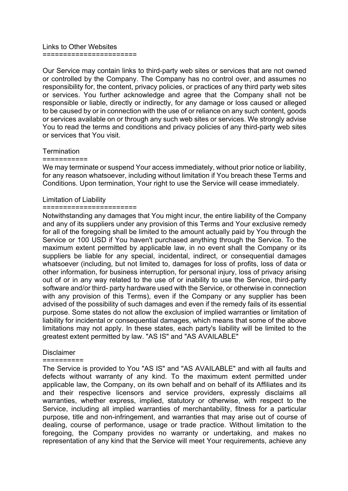Links to Other Websites ======================

Our Service may contain links to third-party web sites or services that are not owned or controlled by the Company. The Company has no control over, and assumes no responsibility for, the content, privacy policies, or practices of any third party web sites or services. You further acknowledge and agree that the Company shall not be responsible or liable, directly or indirectly, for any damage or loss caused or alleged to be caused by or in connection with the use of or reliance on any such content, goods or services available on or through any such web sites or services. We strongly advise You to read the terms and conditions and privacy policies of any third-party web sites or services that You visit.

## **Termination**

### ===========

We may terminate or suspend Your access immediately, without prior notice or liability, for any reason whatsoever, including without limitation if You breach these Terms and Conditions. Upon termination, Your right to use the Service will cease immediately.

### Limitation of Liability

### =======================

Notwithstanding any damages that You might incur, the entire liability of the Company and any of its suppliers under any provision of this Terms and Your exclusive remedy for all of the foregoing shall be limited to the amount actually paid by You through the Service or 100 USD if You haven't purchased anything through the Service. To the maximum extent permitted by applicable law, in no event shall the Company or its suppliers be liable for any special, incidental, indirect, or consequential damages whatsoever (including, but not limited to, damages for loss of profits, loss of data or other information, for business interruption, for personal injury, loss of privacy arising out of or in any way related to the use of or inability to use the Service, third-party software and/or third- party hardware used with the Service, or otherwise in connection with any provision of this Terms), even if the Company or any supplier has been advised of the possibility of such damages and even if the remedy fails of its essential purpose. Some states do not allow the exclusion of implied warranties or limitation of liability for incidental or consequential damages, which means that some of the above limitations may not apply. In these states, each party's liability will be limited to the greatest extent permitted by law. "AS IS" and "AS AVAILABLE"

### **Disclaimer**

#### ==========

The Service is provided to You "AS IS" and "AS AVAILABLE" and with all faults and defects without warranty of any kind. To the maximum extent permitted under applicable law, the Company, on its own behalf and on behalf of its Affiliates and its and their respective licensors and service providers, expressly disclaims all warranties, whether express, implied, statutory or otherwise, with respect to the Service, including all implied warranties of merchantability, fitness for a particular purpose, title and non-infringement, and warranties that may arise out of course of dealing, course of performance, usage or trade practice. Without limitation to the foregoing, the Company provides no warranty or undertaking, and makes no representation of any kind that the Service will meet Your requirements, achieve any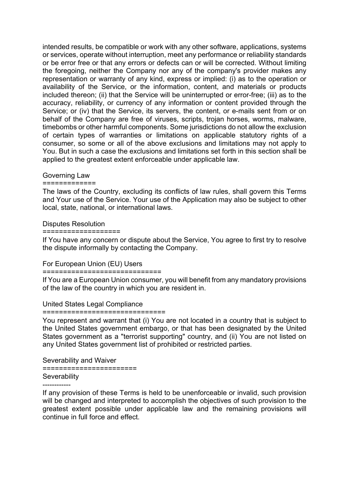intended results, be compatible or work with any other software, applications, systems or services, operate without interruption, meet any performance or reliability standards or be error free or that any errors or defects can or will be corrected. Without limiting the foregoing, neither the Company nor any of the company's provider makes any representation or warranty of any kind, express or implied: (i) as to the operation or availability of the Service, or the information, content, and materials or products included thereon; (ii) that the Service will be uninterrupted or error-free; (iii) as to the accuracy, reliability, or currency of any information or content provided through the Service; or (iv) that the Service, its servers, the content, or e-mails sent from or on behalf of the Company are free of viruses, scripts, trojan horses, worms, malware, timebombs or other harmful components. Some jurisdictions do not allow the exclusion of certain types of warranties or limitations on applicable statutory rights of a consumer, so some or all of the above exclusions and limitations may not apply to You. But in such a case the exclusions and limitations set forth in this section shall be applied to the greatest extent enforceable under applicable law.

# Governing Law

# =============

The laws of the Country, excluding its conflicts of law rules, shall govern this Terms and Your use of the Service. Your use of the Application may also be subject to other local, state, national, or international laws.

## Disputes Resolution

===================

If You have any concern or dispute about the Service, You agree to first try to resolve the dispute informally by contacting the Company.

# For European Union (EU) Users

## =============================

If You are a European Union consumer, you will benefit from any mandatory provisions of the law of the country in which you are resident in.

# United States Legal Compliance

## ==============================

You represent and warrant that (i) You are not located in a country that is subject to the United States government embargo, or that has been designated by the United States government as a "terrorist supporting" country, and (ii) You are not listed on any United States government list of prohibited or restricted parties.

Severability and Waiver

=======================

# **Severability**

------------

If any provision of these Terms is held to be unenforceable or invalid, such provision will be changed and interpreted to accomplish the objectives of such provision to the greatest extent possible under applicable law and the remaining provisions will continue in full force and effect.